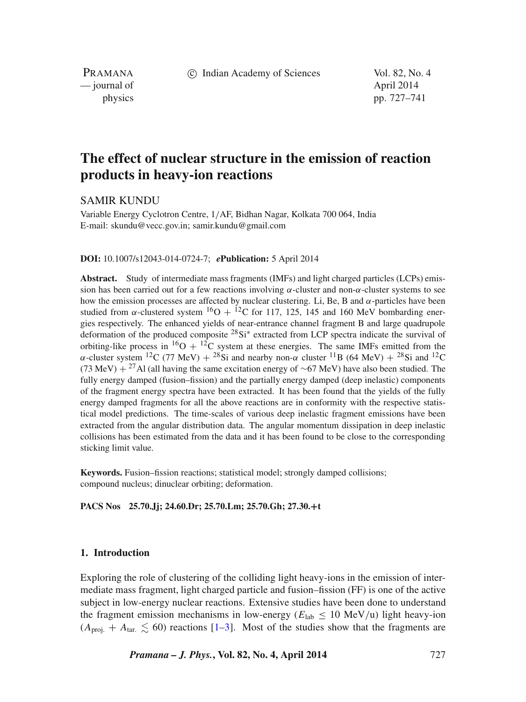c Indian Academy of Sciences Vol. 82, No. 4

PRAMANA — journal of April 2014

physics pp. 727–741

# **The effect of nuclear structure in the emission of reaction products in heavy-ion reactions**

SAMIR KUNDU

Variable Energy Cyclotron Centre, 1/AF, Bidhan Nagar, Kolkata 700 064, India E-mail: skundu@vecc.gov.in; samir.kundu@gmail.com

#### **DOI:** 10.1007/s12043-014-0724-7; *e***Publication:** 5 April 2014

**Abstract.** Study of intermediate mass fragments (IMFs) and light charged particles (LCPs) emission has been carried out for a few reactions involving  $\alpha$ -cluster and non- $\alpha$ -cluster systems to see how the emission processes are affected by nuclear clustering. Li, Be, B and  $\alpha$ -particles have been studied from  $\alpha$ -clustered system  ${}^{16}O + {}^{12}C$  for 117, 125, 145 and 160 MeV bombarding energies respectively. The enhanced yields of near-entrance channel fragment B and large quadrupole deformation of the produced composite <sup>28</sup>Si<sup>∗</sup> extracted from LCP spectra indicate the survival of orbiting-like process in <sup>16</sup>O + <sup>12</sup>C system at these energies. The same IMFs emitted from the α-cluster system <sup>12</sup>C (77 MeV) + <sup>28</sup>Si and nearby non-α cluster <sup>11</sup>B (64 MeV) + <sup>28</sup>Si and <sup>12</sup>C (73 MeV) + <sup>27</sup>Al (all having the same excitation energy of ~67 MeV) have also been studied. The fully energy damped (fusion–fission) and the partially energy damped (deep inelastic) components of the fragment energy spectra have been extracted. It has been found that the yields of the fully energy damped fragments for all the above reactions are in conformity with the respective statistical model predictions. The time-scales of various deep inelastic fragment emissions have been extracted from the angular distribution data. The angular momentum dissipation in deep inelastic collisions has been estimated from the data and it has been found to be close to the corresponding sticking limit value.

**Keywords.** Fusion–fission reactions; statistical model; strongly damped collisions; compound nucleus; dinuclear orbiting; deformation.

**PACS Nos 25.70.Jj; 24.60.Dr; 25.70.Lm; 25.70.Gh; 27.30.+t**

# **1. Introduction**

Exploring the role of clustering of the colliding light heavy-ions in the emission of intermediate mass fragment, light charged particle and fusion–fission (FF) is one of the active subject in low-energy nuclear reactions. Extensive studies have been done to understand the fragment emission mechanisms in low-energy ( $E_{\text{lab}} \leq 10 \text{ MeV/u}$ ) light heavy-ion  $(A_{\text{proj.}} + A_{\text{tar.}} \le 60)$  reactions [\[1–](#page-13-0)[3\]](#page-13-1). Most of the studies show that the fragments are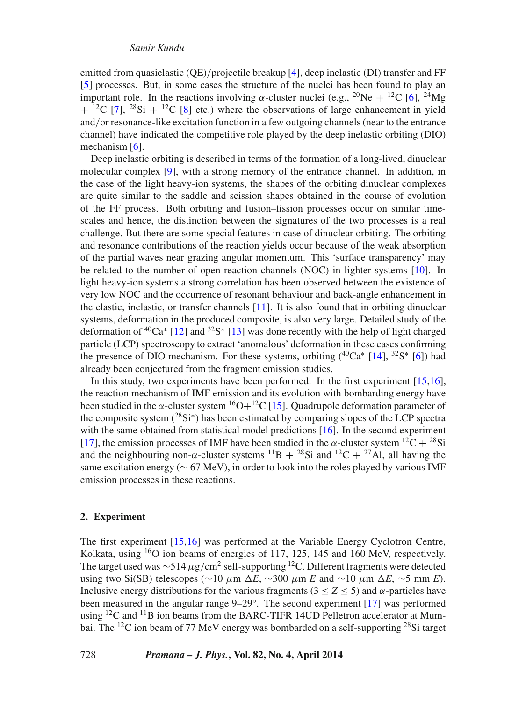emitted from quasielastic (QE)/projectile breakup [\[4\]](#page-13-2), deep inelastic (DI) transfer and FF [\[5\]](#page-13-3) processes. But, in some cases the structure of the nuclei has been found to play an important role. In the reactions involving  $\alpha$ -cluster nuclei (e.g., <sup>20</sup>Ne + <sup>12</sup>C [\[6\]](#page-13-4), <sup>24</sup>Mg  $+$  <sup>12</sup>C [\[7\]](#page-13-5), <sup>28</sup>Si + <sup>12</sup>C [\[8\]](#page-13-6) etc.) where the observations of large enhancement in yield and/or resonance-like excitation function in a few outgoing channels (near to the entrance channel) have indicated the competitive role played by the deep inelastic orbiting (DIO) mechanism [\[6\]](#page-13-4).

Deep inelastic orbiting is described in terms of the formation of a long-lived, dinuclear molecular complex [\[9\]](#page-13-7), with a strong memory of the entrance channel. In addition, in the case of the light heavy-ion systems, the shapes of the orbiting dinuclear complexes are quite similar to the saddle and scission shapes obtained in the course of evolution of the FF process. Both orbiting and fusion–fission processes occur on similar timescales and hence, the distinction between the signatures of the two processes is a real challenge. But there are some special features in case of dinuclear orbiting. The orbiting and resonance contributions of the reaction yields occur because of the weak absorption of the partial waves near grazing angular momentum. This 'surface transparency' may be related to the number of open reaction channels (NOC) in lighter systems [\[10\]](#page-13-8). In light heavy-ion systems a strong correlation has been observed between the existence of very low NOC and the occurrence of resonant behaviour and back-angle enhancement in the elastic, inelastic, or transfer channels [\[11\]](#page-13-9). It is also found that in orbiting dinuclear systems, deformation in the produced composite, is also very large. Detailed study of the deformation of 40Ca<sup>∗</sup> [\[12\]](#page-13-10) and 32S<sup>∗</sup> [\[13\]](#page-13-11) was done recently with the help of light charged particle (LCP) spectroscopy to extract 'anomalous' deformation in these cases confirming the presence of DIO mechanism. For these systems, orbiting  $(^{40}Ca* [14], ^{32}S* [6])$  $(^{40}Ca* [14], ^{32}S* [6])$  $(^{40}Ca* [14], ^{32}S* [6])$  $(^{40}Ca* [14], ^{32}S* [6])$  $(^{40}Ca* [14], ^{32}S* [6])$  had already been conjectured from the fragment emission studies.

In this study, two experiments have been performed. In the first experiment [\[15,](#page-13-13)[16\]](#page-13-14), the reaction mechanism of IMF emission and its evolution with bombarding energy have been studied in the  $\alpha$ -cluster system <sup>16</sup>O+<sup>12</sup>C [\[15\]](#page-13-13). Quadrupole deformation parameter of the composite system  $(^{28}Si^*)$  has been estimated by comparing slopes of the LCP spectra with the same obtained from statistical model predictions [\[16\]](#page-13-14). In the second experiment [\[17\]](#page-14-0), the emission processes of IMF have been studied in the  $\alpha$ -cluster system  $^{12}C + ^{28}Si$ and the neighbouring non- $\alpha$ -cluster systems  $^{11}B + ^{28}Si$  and  $^{12}C + ^{27}Al$ , all having the same excitation energy ( $\sim$  67 MeV), in order to look into the roles played by various IMF emission processes in these reactions.

# **2. Experiment**

The first experiment [\[15,](#page-13-13)[16\]](#page-13-14) was performed at the Variable Energy Cyclotron Centre, Kolkata, using <sup>16</sup>O ion beams of energies of 117, 125, 145 and 160 MeV, respectively. The target used was ∼514  $\mu$ g/cm<sup>2</sup> self-supporting <sup>12</sup>C. Different fragments were detected using two Si(SB) telescopes ( $\sim$ 10 μm ΔE,  $\sim$ 300 μm E and  $\sim$ 10 μm ΔE,  $\sim$ 5 mm E). Inclusive energy distributions for the various fragments (3 <sup>≤</sup> *<sup>Z</sup>* <sup>≤</sup> 5) and <sup>α</sup>-particles have been measured in the angular range 9–29◦. The second experiment [\[17\]](#page-14-0) was performed using  ${}^{12}C$  and  ${}^{11}B$  ion beams from the BARC-TIFR 14UD Pelletron accelerator at Mumbai. The 12C ion beam of 77 MeV energy was bombarded on a self-supporting 28Si target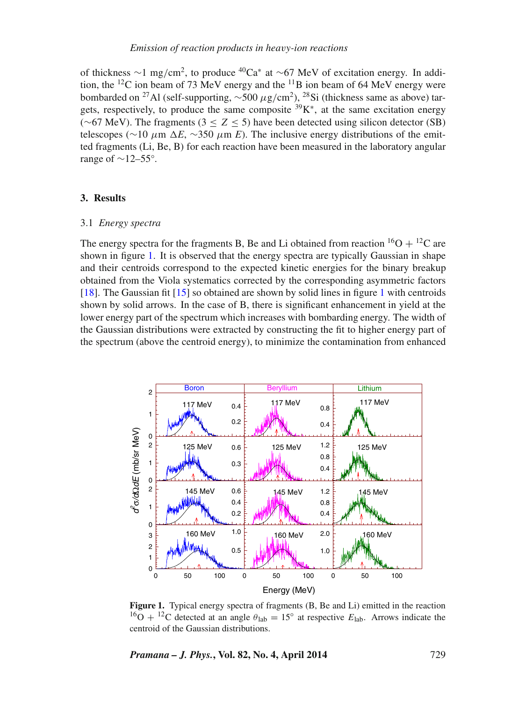of thickness  $\sim$ 1 mg/cm<sup>2</sup>, to produce <sup>40</sup>Ca<sup>∗</sup> at  $\sim$  67 MeV of excitation energy. In addition, the  ${}^{12}C$  ion beam of 73 MeV energy and the  ${}^{11}B$  ion beam of 64 MeV energy were bombarded on <sup>27</sup>Al (self-supporting,  $\sim$ 500 μg/cm<sup>2</sup>), <sup>28</sup>Si (thickness same as above) targets, respectively, to produce the same composite  $39K^*$ , at the same excitation energy ( $~\sim$ 67 MeV). The fragments (3 ≤ Z ≤ 5) have been detected using silicon detector (SB) telescopes ( $\sim$ 10 μm  $\Delta E$ ,  $\sim$ 350 μm *E*). The inclusive energy distributions of the emitted fragments (Li, Be, B) for each reaction have been measured in the laboratory angular range of  $\sim$ 12–55°.

# **3. Results**

# 3.1 *Energy spectra*

The energy spectra for the fragments B, Be and Li obtained from reaction  ${}^{16}O + {}^{12}C$  are shown in figure [1.](#page-2-0) It is observed that the energy spectra are typically Gaussian in shape and their centroids correspond to the expected kinetic energies for the binary breakup obtained from the Viola systematics corrected by the corresponding asymmetric factors [\[18\]](#page-14-1). The Gaussian fit [\[15\]](#page-13-13) so obtained are shown by solid lines in figure [1](#page-2-0) with centroids shown by solid arrows. In the case of B, there is significant enhancement in yield at the lower energy part of the spectrum which increases with bombarding energy. The width of the Gaussian distributions were extracted by constructing the fit to higher energy part of the spectrum (above the centroid energy), to minimize the contamination from enhanced

<span id="page-2-0"></span>

**Figure 1.** Typical energy spectra of fragments (B, Be and Li) emitted in the reaction <sup>16</sup>O + <sup>12</sup>C detected at an angle  $\theta_{\rm lab} = 15^{\circ}$  at respective  $E_{\rm lab}$ . Arrows indicate the centroid of the Gaussian distributions.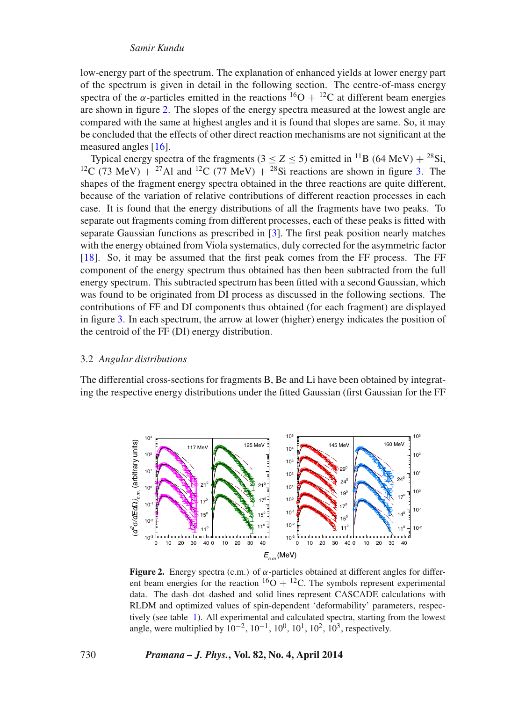low-energy part of the spectrum. The explanation of enhanced yields at lower energy part of the spectrum is given in detail in the following section. The centre-of-mass energy spectra of the  $\alpha$ -particles emitted in the reactions <sup>16</sup>O + <sup>12</sup>C at different beam energies are shown in figure [2.](#page-3-0) The slopes of the energy spectra measured at the lowest angle are compared with the same at highest angles and it is found that slopes are same. So, it may be concluded that the effects of other direct reaction mechanisms are not significant at the measured angles [\[16\]](#page-13-14).

Typical energy spectra of the fragments ( $3 \le Z \le 5$ ) emitted in <sup>11</sup>B (64 MeV) + <sup>28</sup>Si, <sup>12</sup>C (73 MeV) + <sup>27</sup>Al and <sup>12</sup>C (77 MeV) + <sup>28</sup>Si reactions are shown in figure [3.](#page-4-0) The shapes of the fragment energy spectra obtained in the three reactions are quite different, because of the variation of relative contributions of different reaction processes in each case. It is found that the energy distributions of all the fragments have two peaks. To separate out fragments coming from different processes, each of these peaks is fitted with separate Gaussian functions as prescribed in [\[3\]](#page-13-1). The first peak position nearly matches with the energy obtained from Viola systematics, duly corrected for the asymmetric factor [\[18\]](#page-14-1). So, it may be assumed that the first peak comes from the FF process. The FF component of the energy spectrum thus obtained has then been subtracted from the full energy spectrum. This subtracted spectrum has been fitted with a second Gaussian, which was found to be originated from DI process as discussed in the following sections. The contributions of FF and DI components thus obtained (for each fragment) are displayed in figure [3.](#page-4-0) In each spectrum, the arrow at lower (higher) energy indicates the position of the centroid of the FF (DI) energy distribution.

# 3.2 *Angular distributions*

The differential cross-sections for fragments B, Be and Li have been obtained by integrating the respective energy distributions under the fitted Gaussian (first Gaussian for the FF

<span id="page-3-0"></span>

**Figure 2.** Energy spectra (c.m.) of α-particles obtained at different angles for different beam energies for the reaction  ${}^{16}O + {}^{12}C$ . The symbols represent experimental data. The dash–dot–dashed and solid lines represent CASCADE calculations with RLDM and optimized values of spin-dependent 'deformability' parameters, respectively (see table [1\)](#page-8-0). All experimental and calculated spectra, starting from the lowest angle, were multiplied by  $10^{-2}$ ,  $10^{-1}$ ,  $10^{0}$ ,  $10^{1}$ ,  $10^{2}$ ,  $10^{3}$ , respectively.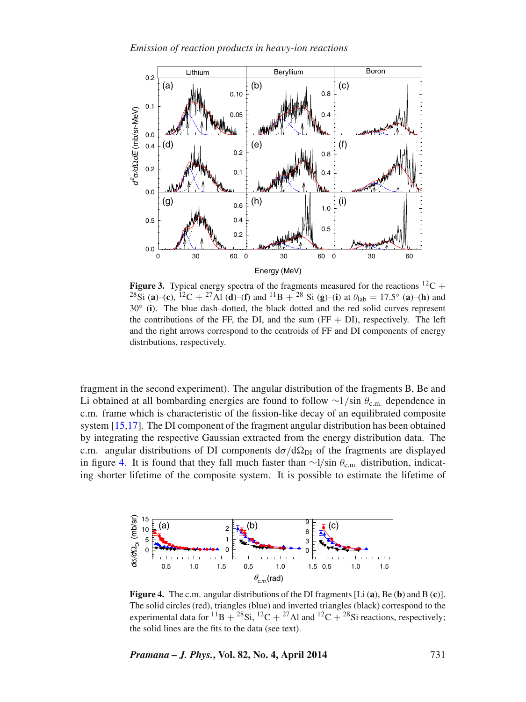<span id="page-4-0"></span>

**Figure 3.** Typical energy spectra of the fragments measured for the reactions  ${}^{12}C$  + <sup>28</sup>Si (**a**)–(**c**), <sup>12</sup>C + <sup>27</sup>Al (**d**)–(**f**) and <sup>11</sup>B + <sup>28</sup> Si (**g**)–(**i**) at  $\theta_{\text{lab}} = 17.5$ ° (**a**)–(**h**) and 30◦ (**i**). The blue dash–dotted, the black dotted and the red solid curves represent the contributions of the FF, the DI, and the sum  $(FF + DI)$ , respectively. The left and the right arrows correspond to the centroids of FF and DI components of energy distributions, respectively.

fragment in the second experiment). The angular distribution of the fragments B, Be and Li obtained at all bombarding energies are found to follow  $\sim$ 1/sin  $\theta_{c.m.}$  dependence in c.m. frame which is characteristic of the fission-like decay of an equilibrated composite system [\[15,](#page-13-13)[17\]](#page-14-0). The DI component of the fragment angular distribution has been obtained by integrating the respective Gaussian extracted from the energy distribution data. The c.m. angular distributions of DI components  $d\sigma/d\Omega_{\text{DI}}$  of the fragments are displayed in figure [4.](#page-4-1) It is found that they fall much faster than  $\sim$ 1/sin  $\theta_{\rm c.m.}$  distribution, indicating shorter lifetime of the composite system. It is possible to estimate the lifetime of

<span id="page-4-1"></span>

**Figure 4.** The c.m. angular distributions of the DI fragments [Li (**a**), Be (**b**) and B (**c**)]. The solid circles (red), triangles (blue) and inverted triangles (black) correspond to the experimental data for <sup>11</sup>B + <sup>28</sup>Si, <sup>12</sup>C + <sup>27</sup>Al and <sup>12</sup>C + <sup>28</sup>Si reactions, respectively; the solid lines are the fits to the data (see text).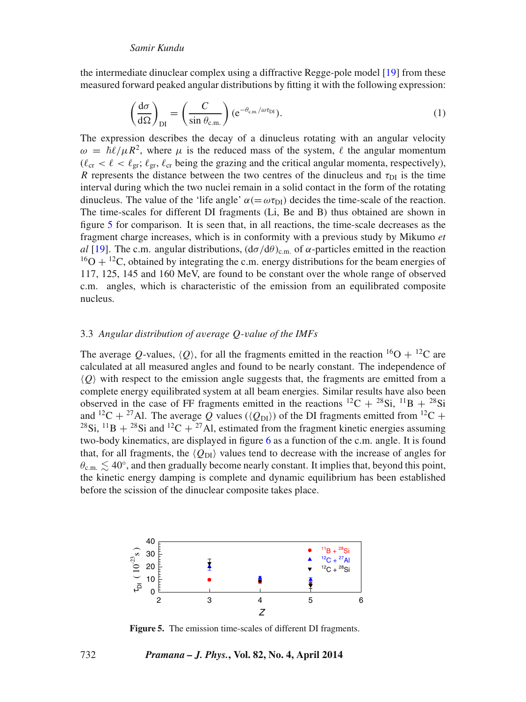the intermediate dinuclear complex using a diffractive Regge-pole model [\[19\]](#page-14-2) from these measured forward peaked angular distributions by fitting it with the following expression:

$$
\left(\frac{d\sigma}{d\Omega}\right)_{DI} = \left(\frac{C}{\sin\theta_{c.m.}}\right) (e^{-\theta_{c.m.}/\omega\tau_{DI}}).
$$
\n(1)

The expression describes the decay of a dinucleus rotating with an angular velocity  $\omega = \hbar \ell / \mu R^2$ , where  $\mu$  is the reduced mass of the system,  $\ell$  the angular momentum  $(\ell_{cr} < \ell < \ell_{gr}; \ell_{gr}, \ell_{cr}$  being the grazing and the critical angular momenta, respectively), R represents the distance between the two centres of the dinucleus and  $\tau_{DI}$  is the time interval during which the two nuclei remain in a solid contact in the form of the rotating dinucleus. The value of the 'life angle'  $\alpha (= \omega \tau_{\text{DI}})$  decides the time-scale of the reaction. The time-scales for different DI fragments (Li, Be and B) thus obtained are shown in figure [5](#page-5-0) for comparison. It is seen that, in all reactions, the time-scale decreases as the fragment charge increases, which is in conformity with a previous study by Mikumo *et al* [\[19\]](#page-14-2). The c.m. angular distributions,  $(d\sigma/d\theta)_{cm}$  of  $\alpha$ -particles emitted in the reaction  $16O + 12C$ , obtained by integrating the c.m. energy distributions for the beam energies of 117, 125, 145 and 160 MeV, are found to be constant over the whole range of observed c.m. angles, which is characteristic of the emission from an equilibrated composite nucleus.

# 3.3 *Angular distribution of a*v*erage* Q*-*v*alue of the IMFs*

The average Q-values,  $\langle Q \rangle$ , for all the fragments emitted in the reaction <sup>16</sup>O + <sup>12</sup>C are calculated at all measured angles and found to be nearly constant. The independence of  $\langle Q \rangle$  with respect to the emission angle suggests that, the fragments are emitted from a complete energy equilibrated system at all beam energies. Similar results have also been observed in the case of FF fragments emitted in the reactions  ${}^{12}C + {}^{28}Si$ ,  ${}^{11}B + {}^{28}Si$ and <sup>12</sup>C + <sup>27</sup>Al. The average Q values ( $\langle Q_{\text{DI}} \rangle$ ) of the DI fragments emitted from <sup>12</sup>C + <sup>28</sup>Si, <sup>11</sup>B + <sup>28</sup>Si and <sup>12</sup>C + <sup>27</sup>Al, estimated from the fragment kinetic energies assuming two-body kinematics, are displayed in figure [6](#page-6-0) as a function of the c.m. angle. It is found that, for all fragments, the  $\langle Q_{\text{DI}} \rangle$  values tend to decrease with the increase of angles for  $\theta_{\rm c.m.} \lesssim 40^{\circ}$ , and then gradually become nearly constant. It implies that, beyond this point, the kinetic energy damping is complete and dynamic equilibrium has been established before the scission of the dinuclear composite takes place.

<span id="page-5-0"></span>

**Figure 5.** The emission time-scales of different DI fragments.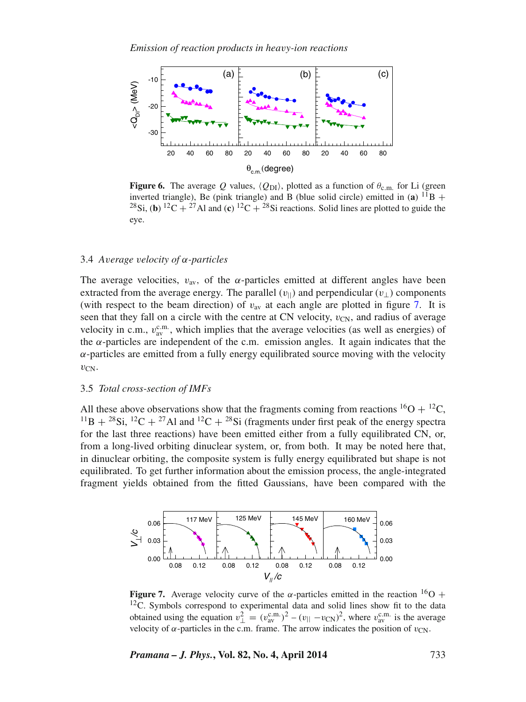<span id="page-6-0"></span>

**Figure 6.** The average Q values,  $\langle Q_{\text{DI}} \rangle$ , plotted as a function of  $\theta_{\text{c.m.}}$  for Li (green inverted triangle), Be (pink triangle) and B (blue solid circle) emitted in  $(a)$  <sup>11</sup>B + <sup>28</sup>Si, (**b**) <sup>12</sup>C + <sup>27</sup>Al and (**c**) <sup>12</sup>C + <sup>28</sup>Si reactions. Solid lines are plotted to guide the eye.

# 3.4 *A*v*erage* v*elocity of* α*-particles*

The average velocities,  $v_{av}$ , of the  $\alpha$ -particles emitted at different angles have been extracted from the average energy. The parallel  $(v_{\parallel})$  and perpendicular  $(v_{\perp})$  components (with respect to the beam direction) of  $v_{\text{av}}$  at each angle are plotted in figure [7.](#page-6-1) It is seen that they fall on a circle with the centre at CN velocity,  $v_{CN}$ , and radius of average velocity in c.m.,  $v_{av}^{c.m.}$ , which implies that the average velocities (as well as energies) of the α-particles are independent of the c.m. emission angles. It again indicates that the  $\alpha$ -particles are emitted from a fully energy equilibrated source moving with the velocity  $v_{CN}$ .

#### 3.5 *Total cross-section of IMFs*

All these above observations show that the fragments coming from reactions  ${}^{16}O + {}^{12}C$ ,  $^{11}B + ^{28}Si$ ,  $^{12}C + ^{27}Al$  and  $^{12}C + ^{28}Si$  (fragments under first peak of the energy spectra for the last three reactions) have been emitted either from a fully equilibrated CN, or, from a long-lived orbiting dinuclear system, or, from both. It may be noted here that, in dinuclear orbiting, the composite system is fully energy equilibrated but shape is not equilibrated. To get further information about the emission process, the angle-integrated fragment yields obtained from the fitted Gaussians, have been compared with the

<span id="page-6-1"></span>

**Figure 7.** Average velocity curve of the  $\alpha$ -particles emitted in the reaction <sup>16</sup>O + <sup>12</sup>C. Symbols correspond to experimental data and solid lines show fit to the data obtained using the equation  $v_{\perp}^2 = (v_{\text{av}}^{\text{c.m.}})^2 - (v_{\parallel} - v_{\text{CN}})^2$ , where  $v_{\text{av}}^{\text{c.m.}}$  is the average velocity of  $\alpha$ -particles in the c.m. frame. The arrow indicates the position of  $v_{CN}$ .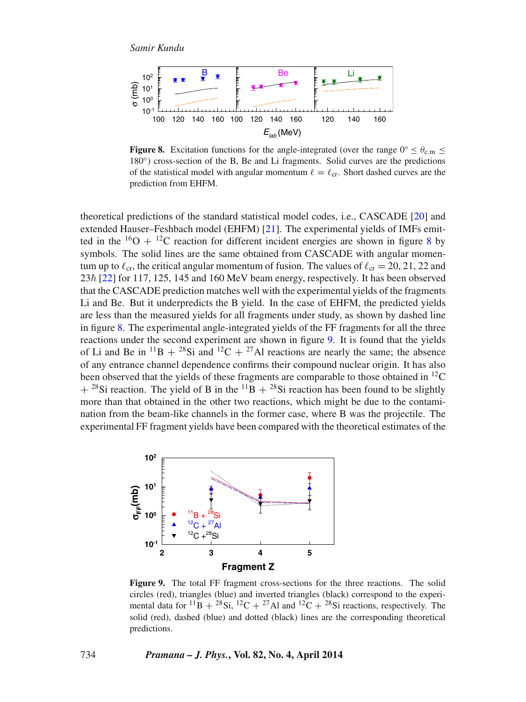<span id="page-7-0"></span>

**Figure 8.** Excitation functions for the angle-integrated (over the range  $0° < \theta_{\rm cm}$ ) 180<sup>°</sup>) cross-section of the B, Be and Li fragments. Solid curves are the predictions of the statistical model with angular momentum  $\ell = \ell_{cr}$ . Short dashed curves are the prediction from EHFM.

theoretical predictions of the standard statistical model codes, i.e., CASCADE [\[20\]](#page-14-3) and extended Hauser–Feshbach model (EHFM) [\[21\]](#page-14-4). The experimental yields of IMFs emitted in the  $16O + 12C$  reaction for different incident energies are shown in figure [8](#page-7-0) by symbols. The solid lines are the same obtained from CASCADE with angular momentum up to  $\ell_{cr}$ , the critical angular momentum of fusion. The values of  $\ell_{cr} = 20, 21, 22$  and  $23\hbar$  [\[22\]](#page-14-5) for 117, 125, 145 and 160 MeV beam energy, respectively. It has been observed that the CASCADE prediction matches well with the experimental yields of the fragments Li and Be. But it underpredicts the B yield. In the case of EHFM, the predicted yields are less than the measured yields for all fragments under study, as shown by dashed line in figure [8.](#page-7-0) The experimental angle-integrated yields of the FF fragments for all the three reactions under the second experiment are shown in figure [9.](#page-7-1) It is found that the yields of Li and Be in  $^{11}B + {}^{28}Si$  and  $^{12}C + {}^{27}Al$  reactions are nearly the same; the absence of any entrance channel dependence confirms their compound nuclear origin. It has also been observed that the yields of these fragments are comparable to those obtained in  ${}^{12}$ C  $+$  <sup>28</sup>Si reaction. The yield of B in the <sup>11</sup>B  $+$  <sup>28</sup>Si reaction has been found to be slightly more than that obtained in the other two reactions, which might be due to the contamination from the beam-like channels in the former case, where B was the projectile. The experimental FF fragment yields have been compared with the theoretical estimates of the

<span id="page-7-1"></span>

**Figure 9.** The total FF fragment cross-sections for the three reactions. The solid circles (red), triangles (blue) and inverted triangles (black) correspond to the experimental data for <sup>11</sup>B + <sup>28</sup>Si, <sup>12</sup>C + <sup>27</sup>Al and <sup>12</sup>C + <sup>28</sup>Si reactions, respectively. The solid (red), dashed (blue) and dotted (black) lines are the corresponding theoretical predictions.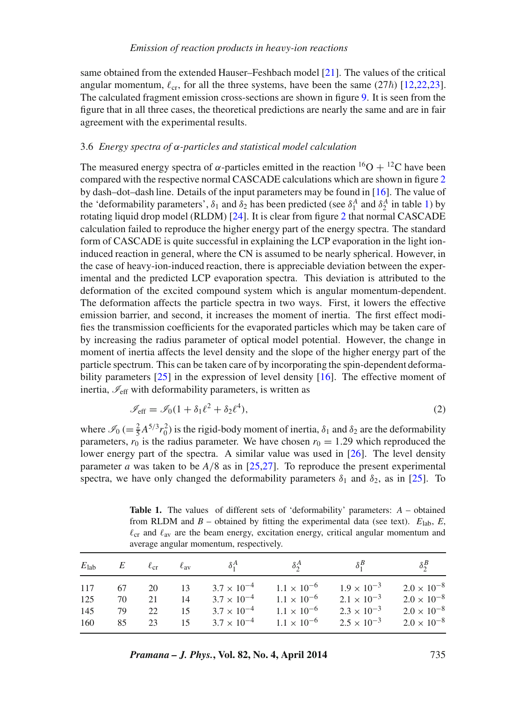same obtained from the extended Hauser–Feshbach model [\[21\]](#page-14-4). The values of the critical angular momentum,  $\ell_{cr}$ , for all the three systems, have been the same (27 $\hbar$ ) [\[12](#page-14-6)[,22](#page-13-10)[,23\]](#page-14-5). The calculated fragment emission cross-sections are shown in figure [9.](#page-7-1) It is seen from the figure that in all three cases, the theoretical predictions are nearly the same and are in fair agreement with the experimental results.

# 3.6 *Energy spectra of* α*-particles and statistical model calculation*

The measured energy spectra of  $\alpha$ -particles emitted in the reaction <sup>16</sup>O + <sup>12</sup>C have been compared with the respective normal CASCADE calculations which are shown in figure [2](#page-3-0) by dash–dot–dash line. Details of the input parameters may be found in [\[16\]](#page-13-14). The value of the 'deformability parameters',  $\delta_1$  and  $\delta_2$  has been predicted (see  $\delta_1^A$  and  $\delta_2^A$  in table [1\)](#page-8-0) by rotating liquid drop model (RLDM) [\[24\]](#page-14-7). It is clear from figure [2](#page-3-0) that normal CASCADE calculation failed to reproduce the higher energy part of the energy spectra. The standard form of CASCADE is quite successful in explaining the LCP evaporation in the light ioninduced reaction in general, where the CN is assumed to be nearly spherical. However, in the case of heavy-ion-induced reaction, there is appreciable deviation between the experimental and the predicted LCP evaporation spectra. This deviation is attributed to the deformation of the excited compound system which is angular momentum-dependent. The deformation affects the particle spectra in two ways. First, it lowers the effective emission barrier, and second, it increases the moment of inertia. The first effect modifies the transmission coefficients for the evaporated particles which may be taken care of by increasing the radius parameter of optical model potential. However, the change in moment of inertia affects the level density and the slope of the higher energy part of the particle spectrum. This can be taken care of by incorporating the spin-dependent deforma-bility parameters [\[25\]](#page-14-8) in the expression of level density [\[16\]](#page-13-14). The effective moment of inertia,  $\mathcal{I}_{\text{eff}}$  with deformability parameters, is written as

<span id="page-8-1"></span>
$$
\mathcal{I}_{\text{eff}} = \mathcal{I}_0 (1 + \delta_1 \ell^2 + \delta_2 \ell^4),\tag{2}
$$

where  $\mathcal{I}_0$  (=  $\frac{2}{5}A^{5/3}r_0^2$ ) is the rigid-body moment of inertia,  $\delta_1$  and  $\delta_2$  are the deformability parameters,  $r_0$  is the radius parameter. We have chosen  $r_0 = 1.29$  which reproduced the lower energy part of the spectra. A similar value was used in [\[26\]](#page-14-9). The level density parameter *a* was taken to be *A*/8 as in [\[25,](#page-14-8)[27\]](#page-14-10). To reproduce the present experimental spectra, we have only changed the deformability parameters  $\delta_1$  and  $\delta_2$ , as in [\[25\]](#page-14-8). To

<span id="page-8-0"></span>**Table 1.** The values of different sets of 'deformability' parameters: *A* – obtained from RLDM and  $B$  – obtained by fitting the experimental data (see text).  $E_{\text{lab}}$ ,  $E$ ,  $\ell_{\rm cr}$  and  $\ell_{\rm av}$  are the beam energy, excitation energy, critical angular momentum and average angular momentum, respectively.

|                          |                | $E_{\rm lab}$ $E$ $\ell_{\rm cr}$ $\ell_{\rm av}$ |                   | $\delta_1^A$ | $\delta_2^A$                                                                                                                                                                                          | $\delta_1^B$                                                         | $\delta_2^B$                                                                                 |
|--------------------------|----------------|---------------------------------------------------|-------------------|--------------|-------------------------------------------------------------------------------------------------------------------------------------------------------------------------------------------------------|----------------------------------------------------------------------|----------------------------------------------------------------------------------------------|
| 117<br>125<br>145<br>160 | 70<br>79<br>85 | 67 20 13<br>21<br>22                              | 14<br>15<br>23 15 |              | $3.7 \times 10^{-4}$ $1.1 \times 10^{-6}$ $1.9 \times 10^{-3}$<br>$3.7 \times 10^{-4}$ $1.1 \times 10^{-6}$<br>$3.7 \times 10^{-4}$ $1.1 \times 10^{-6}$<br>$3.7 \times 10^{-4}$ $1.1 \times 10^{-6}$ | $2.1 \times 10^{-3}$<br>$2.3 \times 10^{-3}$<br>$2.5 \times 10^{-3}$ | $2.0 \times 10^{-8}$<br>$2.0 \times 10^{-8}$<br>$2.0 \times 10^{-8}$<br>$2.0 \times 10^{-8}$ |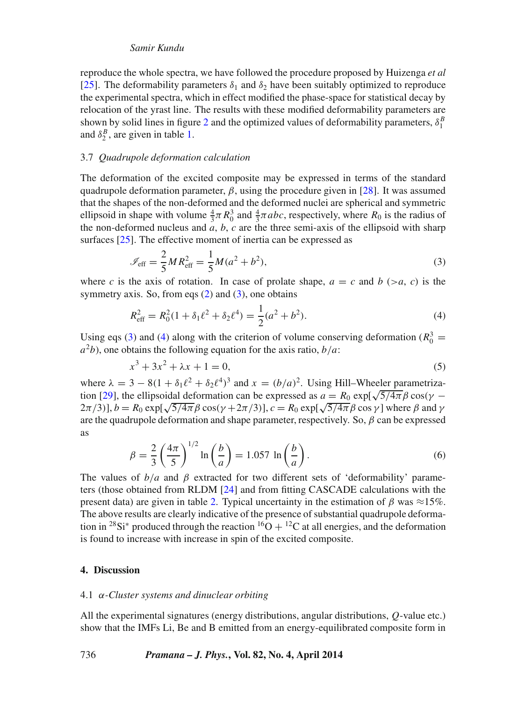reproduce the whole spectra, we have followed the procedure proposed by Huizenga *et al* [\[25\]](#page-14-8). The deformability parameters  $\delta_1$  and  $\delta_2$  have been suitably optimized to reproduce the experimental spectra, which in effect modified the phase-space for statistical decay by relocation of the yrast line. The results with these modified deformability parameters are shown by solid lines in figure [2](#page-3-0) and the optimized values of deformability parameters,  $\delta_1^B$ and  $\delta_2^B$ , are given in table [1.](#page-8-0)

# 3.7 *Quadrupole deformation calculation*

The deformation of the excited composite may be expressed in terms of the standard quadrupole deformation parameter,  $\beta$ , using the procedure given in [\[28\]](#page-14-11). It was assumed that the shapes of the non-deformed and the deformed nuclei are spherical and symmetric ellipsoid in shape with volume  $\frac{4}{3}\pi R_0^3$  and  $\frac{4}{3}\pi abc$ , respectively, where  $R_0$  is the radius of the non-deformed nucleus and *a*, *b*, *c* are the three semi-axis of the ellipsoid with sharp surfaces [\[25\]](#page-14-8). The effective moment of inertia can be expressed as

<span id="page-9-0"></span>
$$
\mathcal{I}_{\text{eff}} = \frac{2}{5} M R_{\text{eff}}^2 = \frac{1}{5} M (a^2 + b^2),\tag{3}
$$

where *c* is the axis of rotation. In case of prolate shape,  $a = c$  and  $b > a$ , *c*) is the symmetry axis. So, from eqs  $(2)$  and  $(3)$ , one obtains

<span id="page-9-1"></span>
$$
R_{\text{eff}}^2 = R_0^2 (1 + \delta_1 \ell^2 + \delta_2 \ell^4) = \frac{1}{2} (a^2 + b^2).
$$
 (4)

Using eqs [\(3\)](#page-9-0) and [\(4\)](#page-9-1) along with the criterion of volume conserving deformation ( $R_0^3$  =  $a^2b$ ), one obtains the following equation for the axis ratio,  $b/a$ :

$$
x^3 + 3x^2 + \lambda x + 1 = 0,\tag{5}
$$

where  $\lambda = 3 - 8(1 + \delta_1 \ell^2 + \delta_2 \ell^4)^3$  and  $x = (b/a)^2$ . Using Hill–Wheeler parametriza-tion [\[29\]](#page-14-12), the ellipsoidal deformation can be expressed as  $a = R_0 \exp[\sqrt{5/4\pi} \beta \cos(\gamma - \gamma)]$  $(2\pi/3)$ ],  $b = R_0 \exp[\sqrt{5/4\pi} \beta \cos(\gamma + 2\pi/3)]$ ,  $c = R_0 \exp[\sqrt{5/4\pi} \beta \cos \gamma]$  where  $\beta$  and  $\gamma$ are the quadrupole deformation and shape parameter, respectively. So,  $\beta$  can be expressed as

$$
\beta = \frac{2}{3} \left( \frac{4\pi}{5} \right)^{1/2} \ln \left( \frac{b}{a} \right) = 1.057 \ln \left( \frac{b}{a} \right). \tag{6}
$$

The values of  $b/a$  and  $\beta$  extracted for two different sets of 'deformability' parameters (those obtained from RLDM [\[24\]](#page-14-7) and from fitting CASCADE calculations with the present data) are given in table [2.](#page-10-0) Typical uncertainty in the estimation of β was  $\approx$ 15%. The above results are clearly indicative of the presence of substantial quadrupole deformation in <sup>28</sup>Si<sup>\*</sup> produced through the reaction <sup>16</sup>O + <sup>12</sup>C at all energies, and the deformation is found to increase with increase in spin of the excited composite.

# **4. Discussion**

# 4.1 α*-Cluster systems and dinuclear orbiting*

All the experimental signatures (energy distributions, angular distributions, Q-value etc.) show that the IMFs Li, Be and B emitted from an energy-equilibrated composite form in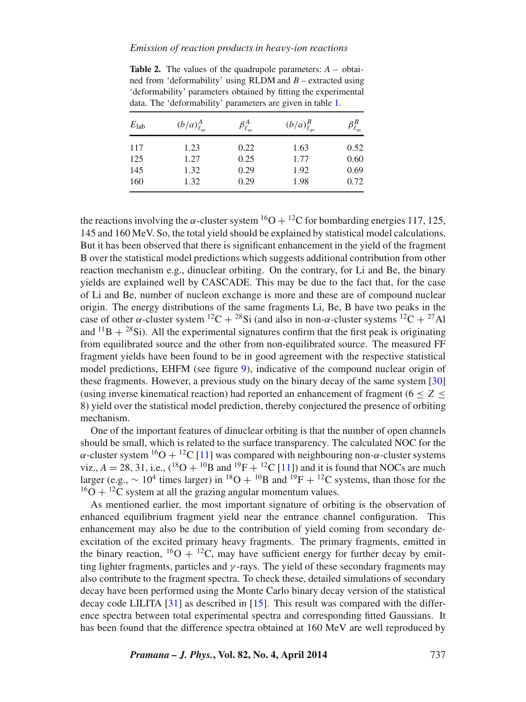# *Emission of reaction products in hea*v*y-ion reactions*

ned from 'deformability' using RLDM and *B* – extracted using 'deformability' parameters obtained by fitting the experimental data. The 'deformability' parameters are given in table [1.](#page-8-0)

<span id="page-10-0"></span>**Table 2.** The values of the quadrupole parameters: *A* – obtai-

| $E_{\rm lab}$ | $(b/a)_{\ell_{av}}^A$ | $\beta_{\ell_{\rm av}}^{A}$ | $(b/a)_{\ell_{\text{av}}}^B$ | $\beta^B_{\ell_{\rm av}}$ |
|---------------|-----------------------|-----------------------------|------------------------------|---------------------------|
| 117           | 1.23                  | 0.22                        | 1.63                         | 0.52                      |
| 125           | 1.27                  | 0.25                        | 1.77                         | 0.60                      |
| 145           | 1.32                  | 0.29                        | 1.92                         | 0.69                      |
| 160           | 1.32                  | 0.29                        | 1.98                         | 0.72                      |

the reactions involving the  $\alpha$ -cluster system <sup>16</sup>O + <sup>12</sup>C for bombarding energies 117, 125, 145 and 160 MeV. So, the total yield should be explained by statistical model calculations. But it has been observed that there is significant enhancement in the yield of the fragment B over the statistical model predictions which suggests additional contribution from other reaction mechanism e.g., dinuclear orbiting. On the contrary, for Li and Be, the binary yields are explained well by CASCADE. This may be due to the fact that, for the case of Li and Be, number of nucleon exchange is more and these are of compound nuclear origin. The energy distributions of the same fragments Li, Be, B have two peaks in the case of other  $\alpha$ -cluster system  ${}^{12}C + {}^{28}Si$  (and also in non- $\alpha$ -cluster systems  ${}^{12}C + {}^{27}Al$ and  $^{11}B + ^{28}Si$ ). All the experimental signatures confirm that the first peak is originating from equilibrated source and the other from non-equilibrated source. The measured FF fragment yields have been found to be in good agreement with the respective statistical model predictions, EHFM (see figure [9\)](#page-7-1), indicative of the compound nuclear origin of these fragments. However, a previous study on the binary decay of the same system [\[30\]](#page-14-13) (using inverse kinematical reaction) had reported an enhancement of fragment  $(6 < Z <$ 8) yield over the statistical model prediction, thereby conjectured the presence of orbiting mechanism.

One of the important features of dinuclear orbiting is that the number of open channels should be small, which is related to the surface transparency. The calculated NOC for the  $\alpha$ -cluster system  ${}^{16}O + {}^{12}C$  [\[11\]](#page-13-9) was compared with neighbouring non- $\alpha$ -cluster systems viz.,  $A = 28, 31,$  i.e.,  $({}^{18}O + {}^{10}B$  and  ${}^{19}F + {}^{12}C$  [\[11\]](#page-13-9)) and it is found that NOCs are much larger (e.g.,  $\sim 10^4$  times larger) in <sup>18</sup>O + <sup>10</sup>B and <sup>19</sup>F + <sup>12</sup>C systems, than those for the  $^{16}O + ^{12}C$  system at all the grazing angular momentum values.

As mentioned earlier, the most important signature of orbiting is the observation of enhanced equilibrium fragment yield near the entrance channel configuration. This enhancement may also be due to the contribution of yield coming from secondary deexcitation of the excited primary heavy fragments. The primary fragments, emitted in the binary reaction,  ${}^{16}O + {}^{12}C$ , may have sufficient energy for further decay by emitting lighter fragments, particles and  $\gamma$ -rays. The yield of these secondary fragments may also contribute to the fragment spectra. To check these, detailed simulations of secondary decay have been performed using the Monte Carlo binary decay version of the statistical decay code LILITA  $[31]$  as described in [\[15\]](#page-13-13). This result was compared with the difference spectra between total experimental spectra and corresponding fitted Gaussians. It has been found that the difference spectra obtained at 160 MeV are well reproduced by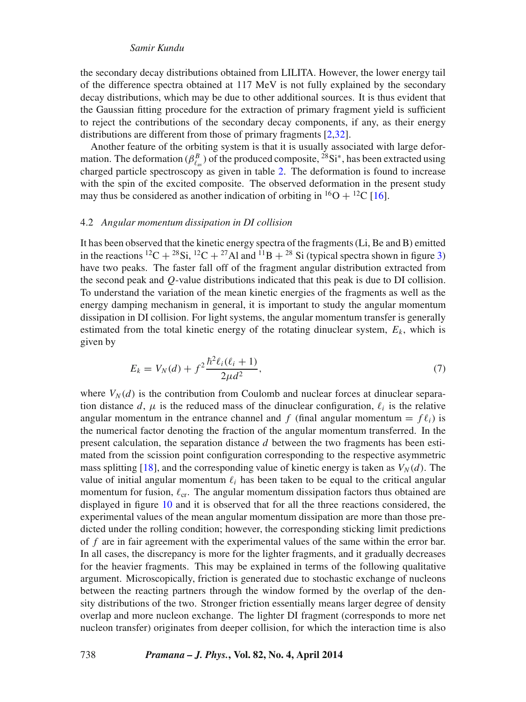the secondary decay distributions obtained from LILITA. However, the lower energy tail of the difference spectra obtained at 117 MeV is not fully explained by the secondary decay distributions, which may be due to other additional sources. It is thus evident that the Gaussian fitting procedure for the extraction of primary fragment yield is sufficient to reject the contributions of the secondary decay components, if any, as their energy distributions are different from those of primary fragments [\[2,](#page-13-15)[32\]](#page-14-15).

Another feature of the orbiting system is that it is usually associated with large deformation. The deformation ( $\beta_{\ell_{av}}^B$ ) of the produced composite, <sup>28</sup>Si<sup>\*</sup>, has been extracted using charged particle spectroscopy as given in table [2.](#page-10-0) The deformation is found to increase with the spin of the excited composite. The observed deformation in the present study may thus be considered as another indication of orbiting in  ${}^{16}O + {}^{12}C$  [\[16\]](#page-13-14).

# 4.2 *Angular momentum dissipation in DI collision*

It has been observed that the kinetic energy spectra of the fragments (Li, Be and B) emitted in the reactions <sup>12</sup>C + <sup>28</sup>Si, <sup>12</sup>C + <sup>27</sup>Al and <sup>11</sup>B + <sup>28</sup> Si (typical spectra shown in figure [3\)](#page-4-0) have two peaks. The faster fall off of the fragment angular distribution extracted from the second peak and Q-value distributions indicated that this peak is due to DI collision. To understand the variation of the mean kinetic energies of the fragments as well as the energy damping mechanism in general, it is important to study the angular momentum dissipation in DI collision. For light systems, the angular momentum transfer is generally estimated from the total kinetic energy of the rotating dinuclear system,  $E<sub>k</sub>$ , which is given by

$$
E_k = V_N(d) + f^2 \frac{\hbar^2 \ell_i(\ell_i + 1)}{2\mu d^2},\tag{7}
$$

where  $V_N(d)$  is the contribution from Coulomb and nuclear forces at dinuclear separation distance d,  $\mu$  is the reduced mass of the dinuclear configuration,  $\ell_i$  is the relative angular momentum in the entrance channel and f (final angular momentum  $= f \ell_i$ ) is the numerical factor denoting the fraction of the angular momentum transferred. In the present calculation, the separation distance d between the two fragments has been estimated from the scission point configuration corresponding to the respective asymmetric mass splitting [\[18\]](#page-14-1), and the corresponding value of kinetic energy is taken as  $V_N(d)$ . The value of initial angular momentum  $\ell_i$  has been taken to be equal to the critical angular momentum for fusion,  $\ell_{cr}$ . The angular momentum dissipation factors thus obtained are displayed in figure [10](#page-12-0) and it is observed that for all the three reactions considered, the experimental values of the mean angular momentum dissipation are more than those predicted under the rolling condition; however, the corresponding sticking limit predictions of f are in fair agreement with the experimental values of the same within the error bar. In all cases, the discrepancy is more for the lighter fragments, and it gradually decreases for the heavier fragments. This may be explained in terms of the following qualitative argument. Microscopically, friction is generated due to stochastic exchange of nucleons between the reacting partners through the window formed by the overlap of the density distributions of the two. Stronger friction essentially means larger degree of density overlap and more nucleon exchange. The lighter DI fragment (corresponds to more net nucleon transfer) originates from deeper collision, for which the interaction time is also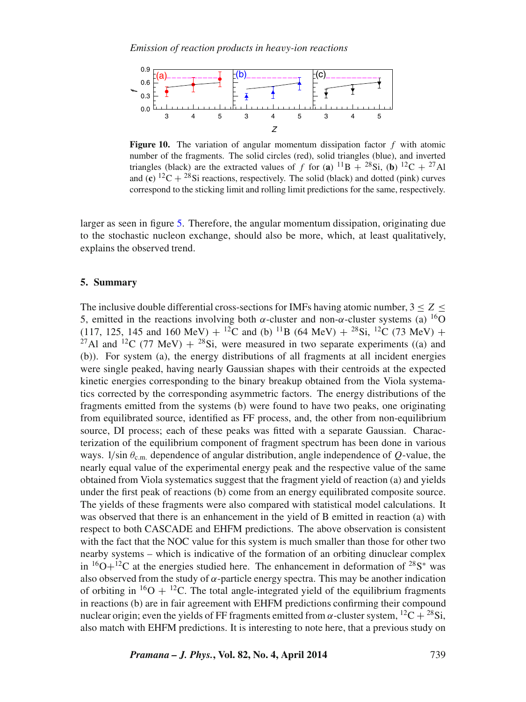<span id="page-12-0"></span>

**Figure 10.** The variation of angular momentum dissipation factor  $f$  with atomic number of the fragments. The solid circles (red), solid triangles (blue), and inverted triangles (black) are the extracted values of f for (a)  $^{11}B + ^{28}Si$ , (b)  $^{12}C + ^{27}Al$ and (**c**) <sup>12</sup>C + <sup>28</sup>Si reactions, respectively. The solid (black) and dotted (pink) curves correspond to the sticking limit and rolling limit predictions for the same, respectively.

larger as seen in figure [5.](#page-5-0) Therefore, the angular momentum dissipation, originating due to the stochastic nucleon exchange, should also be more, which, at least qualitatively, explains the observed trend.

# **5. Summary**

The inclusive double differential cross-sections for IMFs having atomic number,  $3 \le Z \le$ 5, emitted in the reactions involving both α-cluster and non-α-cluster systems (a) <sup>16</sup>O (117, 125, 145 and 160 MeV) +  $^{12}$ C and (b)  $^{11}$ B (64 MeV) +  $^{28}$ Si,  $^{12}$ C (73 MeV) + <sup>27</sup>Al and <sup>12</sup>C (77 MeV) + <sup>28</sup>Si, were measured in two separate experiments ((a) and (b)). For system (a), the energy distributions of all fragments at all incident energies were single peaked, having nearly Gaussian shapes with their centroids at the expected kinetic energies corresponding to the binary breakup obtained from the Viola systematics corrected by the corresponding asymmetric factors. The energy distributions of the fragments emitted from the systems (b) were found to have two peaks, one originating from equilibrated source, identified as FF process, and, the other from non-equilibrium source, DI process; each of these peaks was fitted with a separate Gaussian. Characterization of the equilibrium component of fragment spectrum has been done in various ways. 1/sin  $\theta_{\rm c\,m}$  dependence of angular distribution, angle independence of O-value, the nearly equal value of the experimental energy peak and the respective value of the same obtained from Viola systematics suggest that the fragment yield of reaction (a) and yields under the first peak of reactions (b) come from an energy equilibrated composite source. The yields of these fragments were also compared with statistical model calculations. It was observed that there is an enhancement in the yield of B emitted in reaction (a) with respect to both CASCADE and EHFM predictions. The above observation is consistent with the fact that the NOC value for this system is much smaller than those for other two nearby systems – which is indicative of the formation of an orbiting dinuclear complex in  $16O+12C$  at the energies studied here. The enhancement in deformation of  $28S^*$  was also observed from the study of  $\alpha$ -particle energy spectra. This may be another indication of orbiting in  ${}^{16}O + {}^{12}C$ . The total angle-integrated yield of the equilibrium fragments in reactions (b) are in fair agreement with EHFM predictions confirming their compound nuclear origin; even the yields of FF fragments emitted from α-cluster system,  ${}^{12}C + {}^{28}Si$ , also match with EHFM predictions. It is interesting to note here, that a previous study on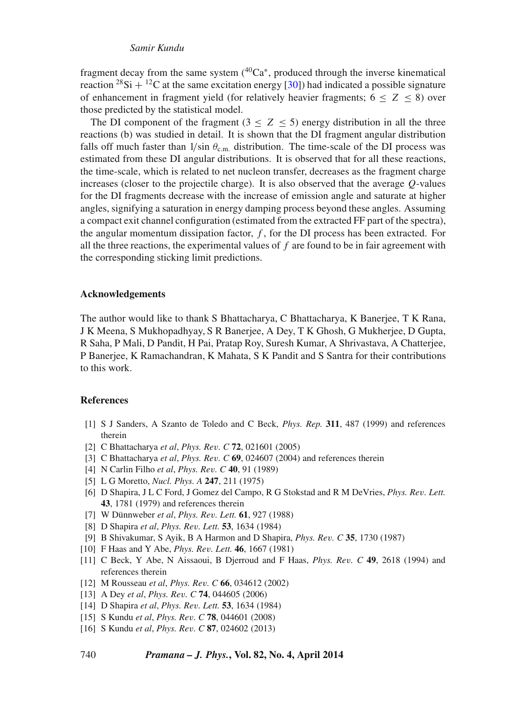fragment decay from the same system  $(40Ca<sup>*</sup>,$  produced through the inverse kinematical reaction <sup>28</sup>Si + <sup>12</sup>C at the same excitation energy [\[30\]](#page-14-13)) had indicated a possible signature of enhancement in fragment yield (for relatively heavier fragments;  $6 \le Z \le 8$ ) over those predicted by the statistical model.

The DI component of the fragment ( $3 \le Z \le 5$ ) energy distribution in all the three reactions (b) was studied in detail. It is shown that the DI fragment angular distribution falls off much faster than  $1/\sin \theta_{c.m.}$  distribution. The time-scale of the DI process was estimated from these DI angular distributions. It is observed that for all these reactions, the time-scale, which is related to net nucleon transfer, decreases as the fragment charge increases (closer to the projectile charge). It is also observed that the average  $Q$ -values for the DI fragments decrease with the increase of emission angle and saturate at higher angles, signifying a saturation in energy damping process beyond these angles. Assuming a compact exit channel configuration (estimated from the extracted FF part of the spectra), the angular momentum dissipation factor,  $f$ , for the DI process has been extracted. For all the three reactions, the experimental values of  $f$  are found to be in fair agreement with the corresponding sticking limit predictions.

#### **Acknowledgements**

The author would like to thank S Bhattacharya, C Bhattacharya, K Banerjee, T K Rana, J K Meena, S Mukhopadhyay, S R Banerjee, A Dey, T K Ghosh, G Mukherjee, D Gupta, R Saha, P Mali, D Pandit, H Pai, Pratap Roy, Suresh Kumar, A Shrivastava, A Chatterjee, P Banerjee, K Ramachandran, K Mahata, S K Pandit and S Santra for their contributions to this work.

#### **References**

- <span id="page-13-0"></span>[1] S J Sanders, A Szanto de Toledo and C Beck, *Phys. Rep.* **311**, 487 (1999) and references therein
- <span id="page-13-15"></span>[2] C Bhattacharya *et al*, *Phys. Re*v*. C* **72**, 021601 (2005)
- <span id="page-13-1"></span>[3] C Bhattacharya *et al*, *Phys. Re*v*. C* **69**, 024607 (2004) and references therein
- <span id="page-13-2"></span>[4] N Carlin Filho *et al*, *Phys. Re*v*. C* **40**, 91 (1989)
- <span id="page-13-3"></span>[5] L G Moretto, *Nucl. Phys. A* **247**, 211 (1975)
- <span id="page-13-4"></span>[6] D Shapira, J L C Ford, J Gomez del Campo, R G Stokstad and R M DeVries, *Phys. Re*v*. Lett.* **43**, 1781 (1979) and references therein
- <span id="page-13-5"></span>[7] W Dünnweber *et al*, *Phys. Re*v*. Lett.* **61**, 927 (1988)
- <span id="page-13-6"></span>[8] D Shapira *et al*, *Phys. Re*v*. Lett.* **53**, 1634 (1984)
- <span id="page-13-7"></span>[9] B Shivakumar, S Ayik, B A Harmon and D Shapira, *Phys. Re*v*. C* **35**, 1730 (1987)
- <span id="page-13-8"></span>[10] F Haas and Y Abe, *Phys. Re*v*. Lett.* **46**, 1667 (1981)
- <span id="page-13-9"></span>[11] C Beck, Y Abe, N Aissaoui, B Djerroud and F Haas, *Phys. Re*v*. C* **49**, 2618 (1994) and references therein
- <span id="page-13-10"></span>[12] M Rousseau *et al*, *Phys. Re*v*. C* **66**, 034612 (2002)
- <span id="page-13-11"></span>[13] A Dey *et al*, *Phys. Re*v*. C* **74**, 044605 (2006)
- <span id="page-13-12"></span>[14] D Shapira *et al*, *Phys. Re*v*. Lett.* **53**, 1634 (1984)
- <span id="page-13-13"></span>[15] S Kundu *et al*, *Phys. Re*v*. C* **78**, 044601 (2008)
- <span id="page-13-14"></span>[16] S Kundu *et al*, *Phys. Re*v*. C* **87**, 024602 (2013)